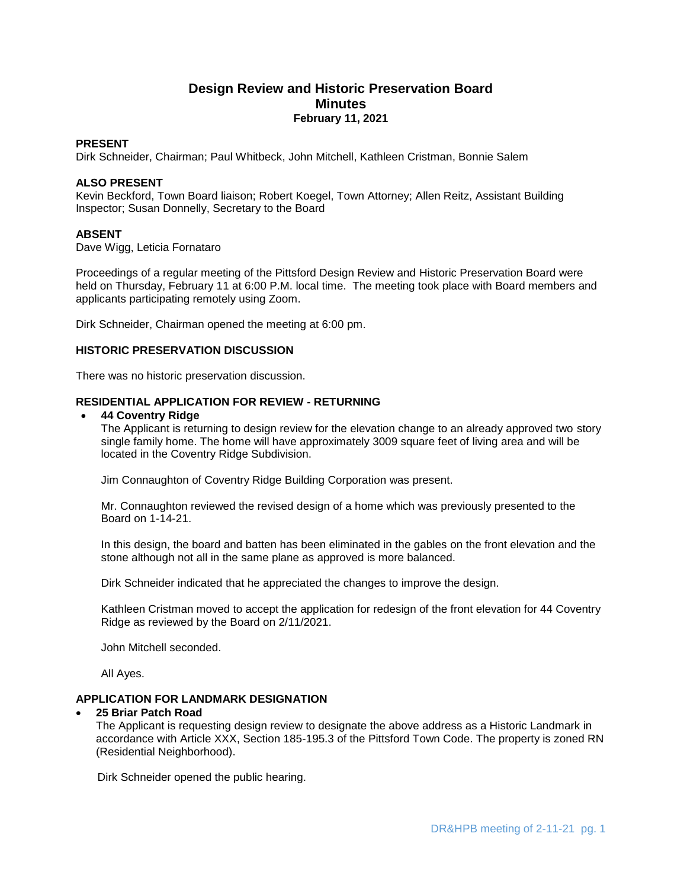## **Design Review and Historic Preservation Board Minutes February 11, 2021**

### **PRESENT**

Dirk Schneider, Chairman; Paul Whitbeck, John Mitchell, Kathleen Cristman, Bonnie Salem

### **ALSO PRESENT**

Kevin Beckford, Town Board liaison; Robert Koegel, Town Attorney; Allen Reitz, Assistant Building Inspector; Susan Donnelly, Secretary to the Board

### **ABSENT**

Dave Wigg, Leticia Fornataro

Proceedings of a regular meeting of the Pittsford Design Review and Historic Preservation Board were held on Thursday, February 11 at 6:00 P.M. local time. The meeting took place with Board members and applicants participating remotely using Zoom.

Dirk Schneider, Chairman opened the meeting at 6:00 pm.

### **HISTORIC PRESERVATION DISCUSSION**

There was no historic preservation discussion.

### **RESIDENTIAL APPLICATION FOR REVIEW - RETURNING**

#### **44 Coventry Ridge**

The Applicant is returning to design review for the elevation change to an already approved two story single family home. The home will have approximately 3009 square feet of living area and will be located in the Coventry Ridge Subdivision.

Jim Connaughton of Coventry Ridge Building Corporation was present.

Mr. Connaughton reviewed the revised design of a home which was previously presented to the Board on 1-14-21.

In this design, the board and batten has been eliminated in the gables on the front elevation and the stone although not all in the same plane as approved is more balanced.

Dirk Schneider indicated that he appreciated the changes to improve the design.

Kathleen Cristman moved to accept the application for redesign of the front elevation for 44 Coventry Ridge as reviewed by the Board on 2/11/2021.

John Mitchell seconded.

All Ayes.

### **APPLICATION FOR LANDMARK DESIGNATION**

### **25 Briar Patch Road**

The Applicant is requesting design review to designate the above address as a Historic Landmark in accordance with Article XXX, Section 185-195.3 of the Pittsford Town Code. The property is zoned RN (Residential Neighborhood).

Dirk Schneider opened the public hearing.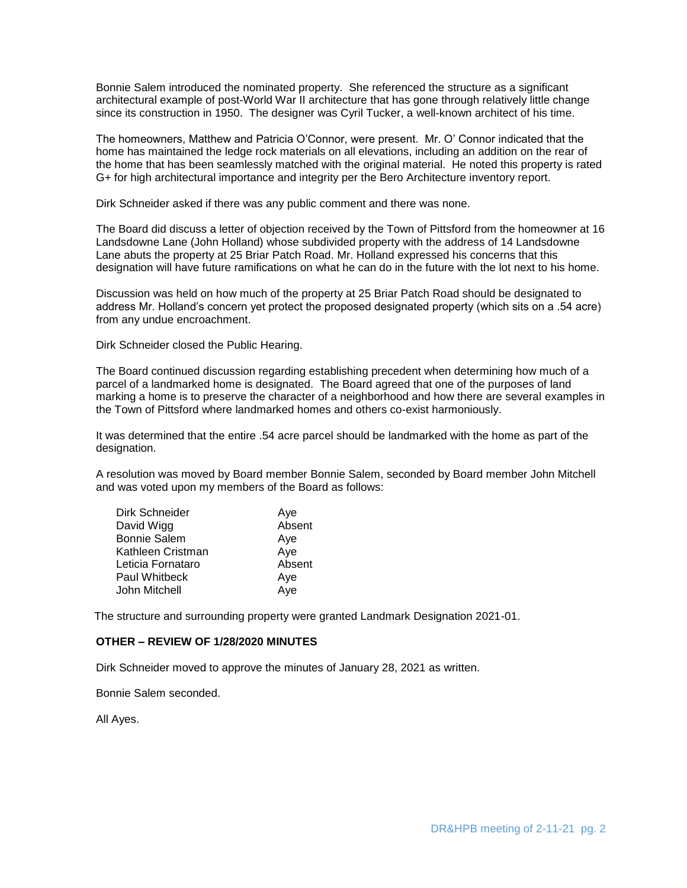Bonnie Salem introduced the nominated property. She referenced the structure as a significant architectural example of post-World War II architecture that has gone through relatively little change since its construction in 1950. The designer was Cyril Tucker, a well-known architect of his time.

The homeowners, Matthew and Patricia O'Connor, were present. Mr. O' Connor indicated that the home has maintained the ledge rock materials on all elevations, including an addition on the rear of the home that has been seamlessly matched with the original material. He noted this property is rated G+ for high architectural importance and integrity per the Bero Architecture inventory report.

Dirk Schneider asked if there was any public comment and there was none.

The Board did discuss a letter of objection received by the Town of Pittsford from the homeowner at 16 Landsdowne Lane (John Holland) whose subdivided property with the address of 14 Landsdowne Lane abuts the property at 25 Briar Patch Road. Mr. Holland expressed his concerns that this designation will have future ramifications on what he can do in the future with the lot next to his home.

Discussion was held on how much of the property at 25 Briar Patch Road should be designated to address Mr. Holland's concern yet protect the proposed designated property (which sits on a .54 acre) from any undue encroachment.

Dirk Schneider closed the Public Hearing.

The Board continued discussion regarding establishing precedent when determining how much of a parcel of a landmarked home is designated. The Board agreed that one of the purposes of land marking a home is to preserve the character of a neighborhood and how there are several examples in the Town of Pittsford where landmarked homes and others co-exist harmoniously.

It was determined that the entire .54 acre parcel should be landmarked with the home as part of the designation.

A resolution was moved by Board member Bonnie Salem, seconded by Board member John Mitchell and was voted upon my members of the Board as follows:

| Dirk Schneider       | Aye    |
|----------------------|--------|
| David Wigg           | Absent |
| <b>Bonnie Salem</b>  | Aye    |
| Kathleen Cristman    | Aye    |
| Leticia Fornataro    | Absent |
| <b>Paul Whitbeck</b> | Aye    |
| John Mitchell        | Aye    |

The structure and surrounding property were granted Landmark Designation 2021-01.

### **OTHER – REVIEW OF 1/28/2020 MINUTES**

Dirk Schneider moved to approve the minutes of January 28, 2021 as written.

Bonnie Salem seconded.

All Ayes.